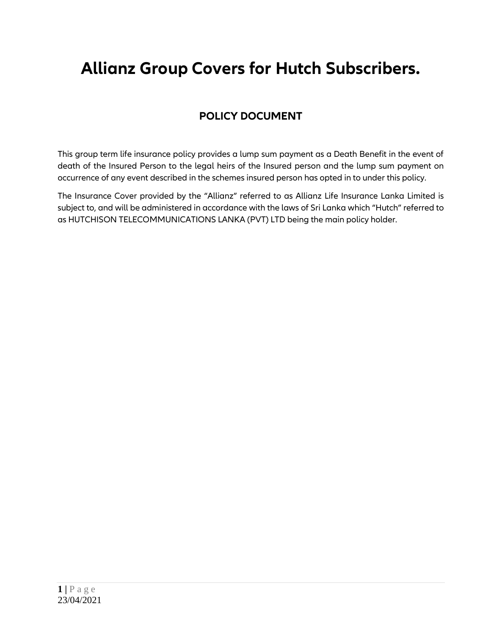# **Allianz Group Covers for Hutch Subscribers.**

# **POLICY DOCUMENT**

This group term life insurance policy provides a lump sum payment as a Death Benefit in the event of death of the Insured Person to the legal heirs of the Insured person and the lump sum payment on occurrence of any event described in the schemes insured person has opted in to under this policy.

The Insurance Cover provided by the "Allianz" referred to as Allianz Life Insurance Lanka Limited is subject to, and will be administered in accordance with the laws of Sri Lanka which "Hutch" referred to as HUTCHISON TELECOMMUNICATIONS LANKA (PVT) LTD being the main policy holder.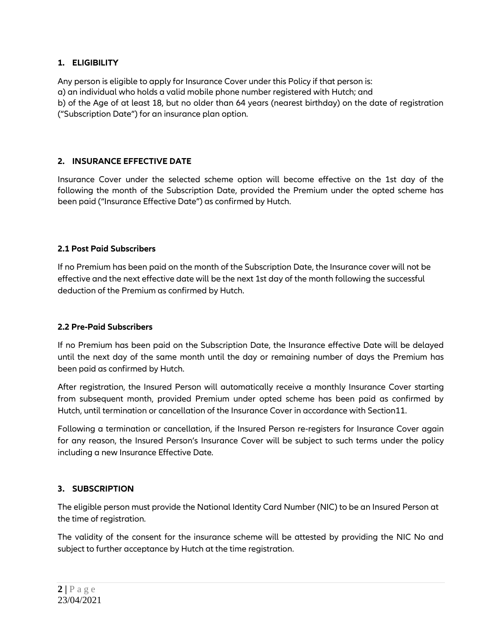# **1. ELIGIBILITY**

Any person is eligible to apply for Insurance Cover under this Policy if that person is: a) an individual who holds a valid mobile phone number registered with Hutch; and b) of the Age of at least 18, but no older than 64 years (nearest birthday) on the date of registration ("Subscription Date") for an insurance plan option.

#### **2. INSURANCE EFFECTIVE DATE**

Insurance Cover under the selected scheme option will become effective on the 1st day of the following the month of the Subscription Date, provided the Premium under the opted scheme has been paid ("Insurance Effective Date") as confirmed by Hutch.

#### **2.1 Post Paid Subscribers**

If no Premium has been paid on the month of the Subscription Date, the Insurance cover will not be effective and the next effective date will be the next 1st day of the month following the successful deduction of the Premium as confirmed by Hutch.

#### **2.2 Pre-Paid Subscribers**

If no Premium has been paid on the Subscription Date, the Insurance effective Date will be delayed until the next day of the same month until the day or remaining number of days the Premium has been paid as confirmed by Hutch.

After registration, the Insured Person will automatically receive a monthly Insurance Cover starting from subsequent month, provided Premium under opted scheme has been paid as confirmed by Hutch, until termination or cancellation of the Insurance Cover in accordance with Section11.

Following a termination or cancellation, if the Insured Person re-registers for Insurance Cover again for any reason, the Insured Person's Insurance Cover will be subject to such terms under the policy including a new Insurance Effective Date.

#### **3. SUBSCRIPTION**

The eligible person must provide the National Identity Card Number (NIC) to be an Insured Person at the time of registration.

The validity of the consent for the insurance scheme will be attested by providing the NIC No and subject to further acceptance by Hutch at the time registration.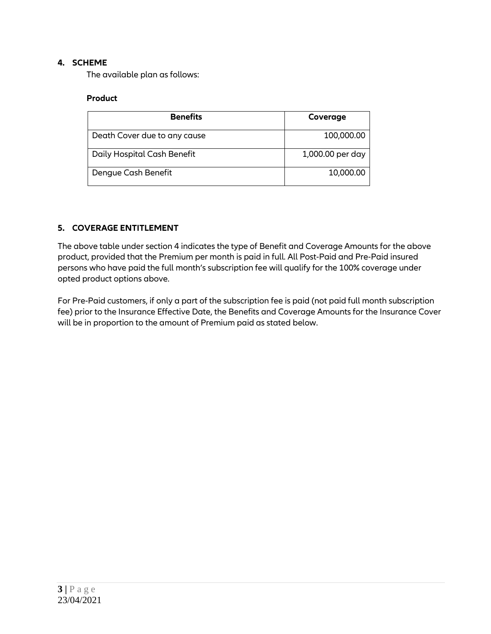# **4. SCHEME**

The available plan as follows:

#### **Product**

| <b>Benefits</b>              | Coverage         |
|------------------------------|------------------|
| Death Cover due to any cause | 100,000.00       |
| Daily Hospital Cash Benefit  | 1,000.00 per day |
| Dengue Cash Benefit          | 10,000.00        |

# **5. COVERAGE ENTITLEMENT**

The above table under section 4 indicates the type of Benefit and Coverage Amounts for the above product, provided that the Premium per month is paid in full. All Post-Paid and Pre-Paid insured persons who have paid the full month"s subscription fee will qualify for the 100% coverage under opted product options above.

For Pre-Paid customers, if only a part of the subscription fee is paid (not paid full month subscription fee) prior to the Insurance Effective Date, the Benefits and Coverage Amounts for the Insurance Cover will be in proportion to the amount of Premium paid as stated below.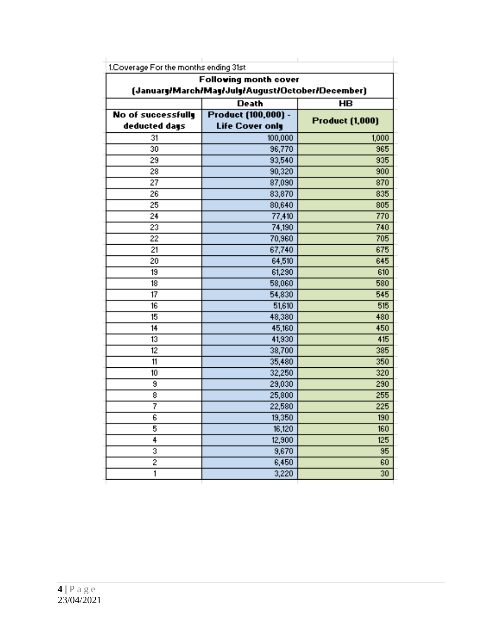|                                                  | <b>Following month cover</b> |                        |  |
|--------------------------------------------------|------------------------------|------------------------|--|
| (January/March/May/July/August/October/December) |                              |                        |  |
|                                                  | <b>Death</b>                 | <b>HB</b>              |  |
| <b>No of successfully</b>                        | Product (100,000) -          | <b>Product (1,000)</b> |  |
| deducted days                                    | <b>Life Cover only</b>       |                        |  |
| 31                                               | 100,000                      | 1,000                  |  |
| 30                                               | 96,770                       | 965                    |  |
| 29                                               | 93,540                       | 935                    |  |
| 28                                               | 90,320                       | 900                    |  |
| 27                                               | 87,090                       | 870                    |  |
| 26                                               | 83,870                       | 835                    |  |
| 25                                               | 80,640                       | 805                    |  |
| 24                                               | 77,410                       | 770                    |  |
| 23                                               | 74,190                       | 740                    |  |
| 22                                               | 70,960                       | 705                    |  |
| 21                                               | 67,740                       | 675                    |  |
| 20                                               | 64,510                       | 645                    |  |
| 19                                               | 61,290                       | 610                    |  |
| 18                                               | 58,060                       | 580                    |  |
| 17                                               | 54,830                       | 545                    |  |
| 16                                               | 51,610                       | 515                    |  |
| 15                                               | 48,380                       | 480                    |  |
| 14                                               | 45,160                       | 450                    |  |
| 13                                               | 41,930                       | 415                    |  |
| 12                                               | 38,700                       | 385                    |  |
| 11                                               | 35,480                       | 350                    |  |
| 10                                               | 32,250                       | $\overline{320}$       |  |
| 9                                                | 29,030                       | 290                    |  |
| 8                                                | 25,800                       | 255                    |  |
| 7                                                | 22,580                       | 225                    |  |
| 6                                                | 19,350                       | 190                    |  |
| 5                                                | 16,120                       | 160                    |  |
| 4                                                | 12,900                       | 125                    |  |
| 3                                                | 9,670                        | $9\%$                  |  |
| $\overline{2}$                                   | 6,450                        | 60                     |  |
| $\mathbf{1}$                                     | 3,220                        | $\sqrt{2}0$            |  |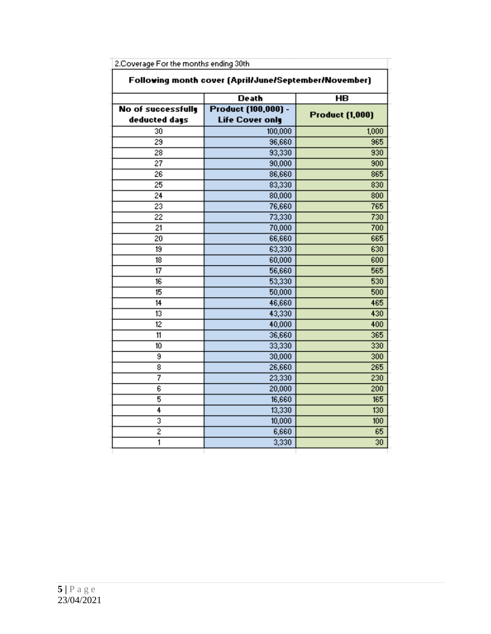| Following month cover (April/June/September/November) |                        |                        |
|-------------------------------------------------------|------------------------|------------------------|
|                                                       | <b>Death</b>           | <b>HB</b>              |
| No of successfully                                    | Product (100,000) -    | <b>Product (1,000)</b> |
| deducted days                                         | <b>Life Cover only</b> |                        |
| 30                                                    | 100,000                | 1,000                  |
| 29                                                    | 96,660                 | 965                    |
| 28                                                    | 93,330                 | 930                    |
| $\overline{27}$                                       | 90,000                 | 900                    |
| 26                                                    | 86,660                 | 865                    |
| 25                                                    | 83,330                 | 830                    |
| 24                                                    | 80,000                 | 800                    |
| 23                                                    | 76,660                 | 765                    |
| $\overline{22}$                                       | 73,330                 | 730                    |
| 21                                                    | 70,000                 | 700                    |
| 20                                                    | 66,660                 | 665                    |
| 19                                                    | 63,330                 | 630                    |
| $\overline{18}$                                       | 60,000                 | 600                    |
| $\overline{17}$                                       | 56,660                 | 565                    |
| $\overline{16}$                                       | 53,330                 | 530                    |
| 15                                                    | 50,000                 | 500                    |
| 14                                                    | 46,660                 | 465                    |
| $\overline{13}$                                       | 43,330                 | 430                    |
| $\overline{12}$                                       | 40,000                 | 400                    |
| $\overline{11}$                                       | 36,660                 | 365                    |
| 10 <sub>10</sub>                                      | 33,330                 | 330                    |
| 9                                                     | 30,000                 | 300                    |
| $\overline{\bf 8}$                                    | 26,660                 | 265                    |
| 7                                                     | 23,330                 | 230                    |
| 6                                                     | 20,000                 | 200                    |
| 5                                                     | 16,660                 | 165                    |
| 4                                                     | 13,330                 | 130                    |
| 3                                                     | 10,000                 | 100                    |
| $\overline{2}$                                        | 6,660                  | 65                     |
| 1                                                     | 3,330                  | 30                     |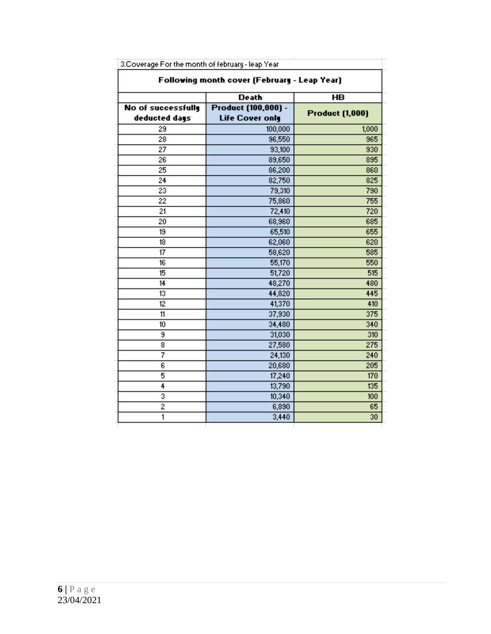| Following month cover (February - Leap Year) |                                               |                        |
|----------------------------------------------|-----------------------------------------------|------------------------|
|                                              | <b>Death</b>                                  | HB                     |
| No of successfully<br>deducted days          | Product (100,000) -<br><b>Life Cover only</b> | <b>Product (1,000)</b> |
| 29                                           | 100,000                                       | 1,000                  |
| $\overline{28}$                              | 96,550                                        | 965                    |
| $\overline{27}$                              | 93,100                                        | 930                    |
| 26                                           | 89,650                                        | 895                    |
| 25                                           | 86,200                                        | 860                    |
| 24                                           | 82,750                                        | 825                    |
| 23                                           | 79,310                                        | 790                    |
| $\overline{22}$                              | 75,860                                        | 755                    |
| 21                                           | 72,410                                        | 720                    |
| $\overline{20}$                              | 68,960                                        | 685                    |
| $\overline{19}$                              | 65,510                                        | 655                    |
| 18                                           | 62,060                                        | 620                    |
| $\overline{17}$                              | 58,620                                        | 585                    |
| $\overline{16}$                              | 55,170                                        | 550                    |
| 15                                           | 51,720                                        | 515                    |
| 14                                           | 48,270                                        | 480                    |
| $\overline{13}$                              | 44,820                                        | 445                    |
| 12                                           | 41,370                                        | 410                    |
| 11                                           | 37,930                                        | 375                    |
| 10                                           | 34,480                                        | 340                    |
| 9                                            | 31,030                                        | 310                    |
| 8                                            | 27,580                                        | 275                    |
| 7                                            | 24,130                                        | 240                    |
| 6                                            | 20,680                                        | 205                    |
| 5                                            | 17,240                                        | 170                    |
| 4                                            | 13,790                                        | 135                    |
| 3                                            | 10,340                                        | 100                    |
| $\overline{2}$                               | 6,890                                         | 65                     |
| 1                                            | 3,440                                         | 30                     |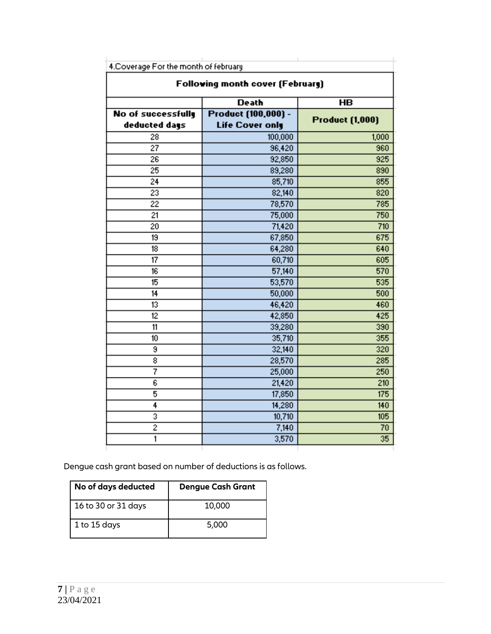|                                            | <b>Following month cover (February)</b>       |                        |
|--------------------------------------------|-----------------------------------------------|------------------------|
|                                            | <b>Death</b>                                  | <b>HB</b>              |
| <b>No of successfully</b><br>deducted days | Product (100,000) -<br><b>Life Cover only</b> | <b>Product (1,000)</b> |
| 28                                         | 100,000                                       | 1000                   |
| $\overline{27}$                            | 96,420                                        | 960                    |
| 26                                         | 92,850                                        | 925                    |
| $\overline{25}$                            | 89,280                                        | 890                    |
| 24                                         | 85,710                                        | 855                    |
| $\overline{23}$                            | 82,140                                        | 820                    |
| 22                                         | 78,570                                        | 785                    |
| 21                                         | 75,000                                        | 750                    |
| $\overline{20}$                            | 71,420                                        | 710                    |
| 19                                         | 67,850                                        | 675                    |
| 18                                         | 64,280                                        | 640                    |
| 17                                         | 60,710                                        | 605                    |
| $\overline{16}$                            | 57,140                                        | 570                    |
| 15                                         | 53,570                                        | 535                    |
| 14                                         | 50,000                                        | 500                    |
| $\overline{13}$                            | 46,420                                        | 460                    |
| $\overline{12}$                            | 42,850                                        | 425                    |
| 11                                         | 39,280                                        | 390                    |
| 10                                         | 35,710                                        | 355                    |
| 9                                          | 32,140                                        | $\overline{320}$       |
| 8                                          | 28,570                                        | 285                    |
| 7                                          | 25,000                                        | 250                    |
| $\overline{\epsilon}$                      | 21,420                                        | 210                    |
| 5                                          | 17,850                                        | 175                    |
| 4                                          | 14,280                                        | 140                    |
| 3                                          | 10,710                                        | 105                    |
| $\overline{2}$                             | 7,140                                         | 70                     |
| 1                                          | 3,570                                         | 35                     |

Dengue cash grant based on number of deductions is as follows.

| No of days deducted | <b>Dengue Cash Grant</b> |
|---------------------|--------------------------|
| 16 to 30 or 31 days | 10,000                   |
| 1 to 15 days        | 5,000                    |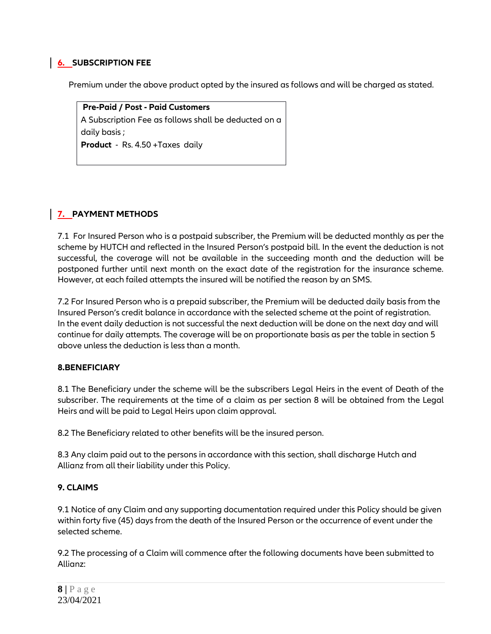## **6. SUBSCRIPTION FEE**

Premium under the above product opted by the insured as follows and will be charged as stated.

**Pre-Paid / Post - Paid Customers** A Subscription Fee as follows shall be deducted on a daily basis ; **Product** - Rs. 4.50 +Taxes daily

# **7. PAYMENT METHODS**

7.1 For Insured Person who is a postpaid subscriber, the Premium will be deducted monthly as per the scheme by HUTCH and reflected in the Insured Person"s postpaid bill. In the event the deduction is not successful, the coverage will not be available in the succeeding month and the deduction will be postponed further until next month on the exact date of the registration for the insurance scheme. However, at each failed attempts the insured will be notified the reason by an SMS.

7.2 For Insured Person who is a prepaid subscriber, the Premium will be deducted daily basis from the Insured Person"s credit balance in accordance with the selected scheme at the point of registration. In the event daily deduction is not successful the next deduction will be done on the next day and will continue for daily attempts. The coverage will be on proportionate basis as per the table in section 5 above unless the deduction is less than a month.

#### **8.BENEFICIARY**

8.1 The Beneficiary under the scheme will be the subscribers Legal Heirs in the event of Death of the subscriber. The requirements at the time of a claim as per section 8 will be obtained from the Legal Heirs and will be paid to Legal Heirs upon claim approval.

8.2 The Beneficiary related to other benefits will be the insured person.

8.3 Any claim paid out to the persons in accordance with this section, shall discharge Hutch and Allianz from all their liability under this Policy.

#### **9. CLAIMS**

9.1 Notice of any Claim and any supporting documentation required under this Policy should be given within forty five (45) days from the death of the Insured Person or the occurrence of event under the selected scheme.

9.2 The processing of a Claim will commence after the following documents have been submitted to Allianz: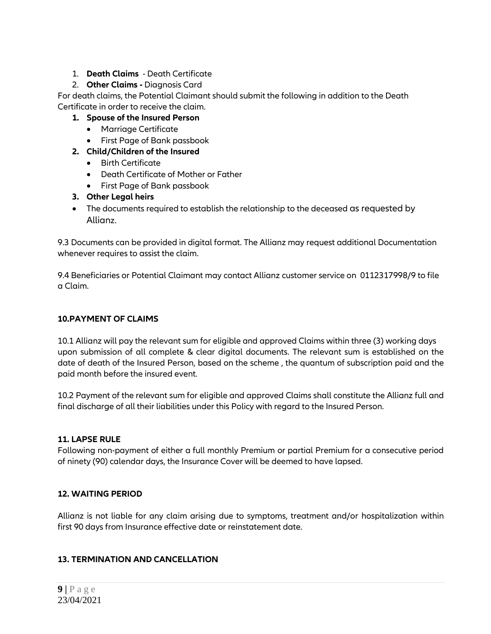# 1. **Death Claims** - Death Certificate

# 2. **Other Claims -** Diagnosis Card

For death claims, the Potential Claimant should submit the following in addition to the Death Certificate in order to receive the claim.

- **1. Spouse of the Insured Person** 
	- Marriage Certificate
	- First Page of Bank passbook
- **2. Child/Children of the Insured** 
	- **•** Birth Certificate
	- Death Certificate of Mother or Father
	- First Page of Bank passbook
- **3. Other Legal heirs**
- The documents required to establish the relationship to the deceased as requested by Allianz.

9.3 Documents can be provided in digital format. The Allianz may request additional Documentation whenever requires to assist the claim.

9.4 Beneficiaries or Potential Claimant may contact Allianz customer service on 0112317998/9 to file a Claim.

# **10.PAYMENT OF CLAIMS**

10.1 Allianz will pay the relevant sum for eligible and approved Claims within three (3) working days upon submission of all complete & clear digital documents. The relevant sum is established on the date of death of the Insured Person, based on the scheme , the quantum of subscription paid and the paid month before the insured event.

10.2 Payment of the relevant sum for eligible and approved Claims shall constitute the Allianz full and final discharge of all their liabilities under this Policy with regard to the Insured Person.

# **11. LAPSE RULE**

Following non-payment of either a full monthly Premium or partial Premium for a consecutive period of ninety (90) calendar days, the Insurance Cover will be deemed to have lapsed.

# **12. WAITING PERIOD**

Allianz is not liable for any claim arising due to symptoms, treatment and/or hospitalization within first 90 days from Insurance effective date or reinstatement date.

# **13. TERMINATION AND CANCELLATION**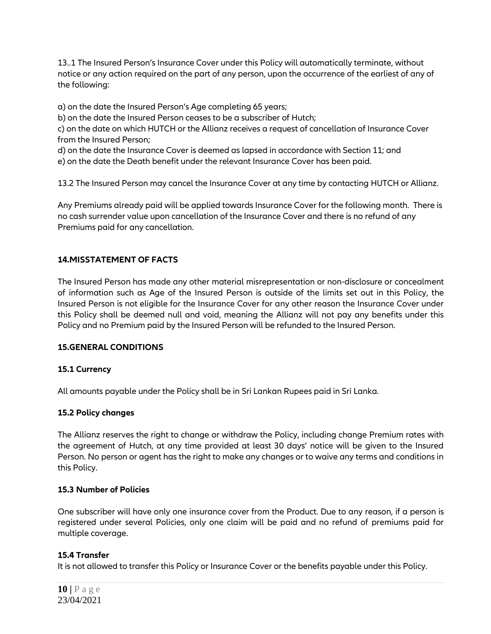13..1 The Insured Person"s Insurance Cover under this Policy will automatically terminate, without notice or any action required on the part of any person, upon the occurrence of the earliest of any of the following:

a) on the date the Insured Person"s Age completing 65 years;

b) on the date the Insured Person ceases to be a subscriber of Hutch;

c) on the date on which HUTCH or the Allianz receives a request of cancellation of Insurance Cover from the Insured Person;

d) on the date the Insurance Cover is deemed as lapsed in accordance with Section 11; and

e) on the date the Death benefit under the relevant Insurance Cover has been paid.

13.2 The Insured Person may cancel the Insurance Cover at any time by contacting HUTCH or Allianz.

Any Premiums already paid will be applied towards Insurance Cover for the following month. There is no cash surrender value upon cancellation of the Insurance Cover and there is no refund of any Premiums paid for any cancellation.

# **14.MISSTATEMENT OF FACTS**

The Insured Person has made any other material misrepresentation or non-disclosure or concealment of information such as Age of the Insured Person is outside of the limits set out in this Policy, the Insured Person is not eligible for the Insurance Cover for any other reason the Insurance Cover under this Policy shall be deemed null and void, meaning the Allianz will not pay any benefits under this Policy and no Premium paid by the Insured Person will be refunded to the Insured Person.

#### **15.GENERAL CONDITIONS**

#### **15.1 Currency**

All amounts payable under the Policy shall be in Sri Lankan Rupees paid in Sri Lanka.

#### **15.2 Policy changes**

The Allianz reserves the right to change or withdraw the Policy, including change Premium rates with the agreement of Hutch, at any time provided at least 30 days" notice will be given to the Insured Person. No person or agent has the right to make any changes or to waive any terms and conditions in this Policy.

#### **15.3 Number of Policies**

One subscriber will have only one insurance cover from the Product. Due to any reason, if a person is registered under several Policies, only one claim will be paid and no refund of premiums paid for multiple coverage.

#### **15.4 Transfer**

It is not allowed to transfer this Policy or Insurance Cover or the benefits payable under this Policy.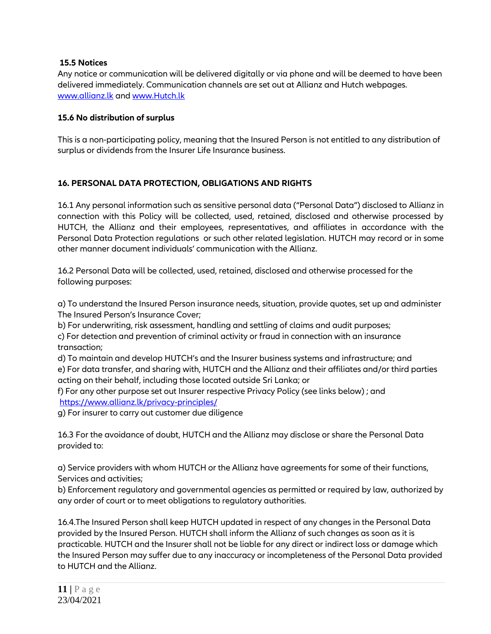#### **15.5 Notices**

Any notice or communication will be delivered digitally or via phone and will be deemed to have been delivered immediately. Communication channels are set out at Allianz and Hutch webpages. [www.allianz.lk](http://www.allianz.lk/) and [www.Hutch.lk](http://www.mobitel.lk/)

#### **15.6 No distribution of surplus**

This is a non-participating policy, meaning that the Insured Person is not entitled to any distribution of surplus or dividends from the Insurer Life Insurance business.

# **16. PERSONAL DATA PROTECTION, OBLIGATIONS AND RIGHTS**

16.1 Any personal information such as sensitive personal data ("Personal Data") disclosed to Allianz in connection with this Policy will be collected, used, retained, disclosed and otherwise processed by HUTCH, the Allianz and their employees, representatives, and affiliates in accordance with the Personal Data Protection regulations or such other related legislation. HUTCH may record or in some other manner document individuals" communication with the Allianz.

16.2 Personal Data will be collected, used, retained, disclosed and otherwise processed for the following purposes:

a) To understand the Insured Person insurance needs, situation, provide quotes, set up and administer The Insured Person"s Insurance Cover;

b) For underwriting, risk assessment, handling and settling of claims and audit purposes;

c) For detection and prevention of criminal activity or fraud in connection with an insurance transaction;

d) To maintain and develop HUTCH"s and the Insurer business systems and infrastructure; and e) For data transfer, and sharing with, HUTCH and the Allianz and their affiliates and/or third parties acting on their behalf, including those located outside Sri Lanka; or

f) For any other purpose set out Insurer respective Privacy Policy (see links below) ; and <https://www.allianz.lk/privacy-principles/>

g) For insurer to carry out customer due diligence

16.3 For the avoidance of doubt, HUTCH and the Allianz may disclose or share the Personal Data provided to:

a) Service providers with whom HUTCH or the Allianz have agreements for some of their functions, Services and activities;

b) Enforcement regulatory and governmental agencies as permitted or required by law, authorized by any order of court or to meet obligations to regulatory authorities.

16.4.The Insured Person shall keep HUTCH updated in respect of any changes in the Personal Data provided by the Insured Person. HUTCH shall inform the Allianz of such changes as soon as it is practicable. HUTCH and the Insurer shall not be liable for any direct or indirect loss or damage which the Insured Person may suffer due to any inaccuracy or incompleteness of the Personal Data provided to HUTCH and the Allianz.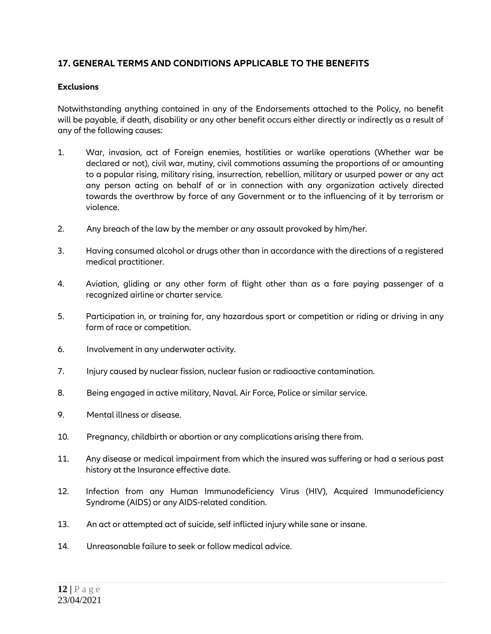# **17. GENERAL TERMS AND CONDITIONS APPLICABLE TO THE BENEFITS**

# **Exclusions**

Notwithstanding anything contained in any of the Endorsements attached to the Policy, no benefit will be payable, if death, disability or any other benefit occurs either directly or indirectly as a result of any of the following causes:

- 1. War, invasion, act of Foreign enemies, hostilities or warlike operations (Whether war be declared or not), civil war, mutiny, civil commotions assuming the proportions of or amounting to a popular rising, military rising, insurrection, rebellion, military or usurped power or any act any person acting on behalf of or in connection with any organization actively directed towards the overthrow by force of any Government or to the influencing of it by terrorism or violence.
- 2. Any breach of the law by the member or any assault provoked by him/her.
- 3. Having consumed alcohol or drugs other than in accordance with the directions of a registered medical practitioner.
- 4. Aviation, gliding or any other form of flight other than as a fare paying passenger of a recognized airline or charter service.
- 5. Participation in, or training for, any hazardous sport or competition or riding or driving in any form of race or competition.
- 6. Involvement in any underwater activity.
- 7. Injury caused by nuclear fission, nuclear fusion or radioactive contamination.
- 8. Being engaged in active military, Naval. Air Force, Police or similar service.
- 9. Mental illness or disease.
- 10. Pregnancy, childbirth or abortion or any complications arising there from.
- 11. Any disease or medical impairment from which the insured was suffering or had a serious past history at the Insurance effective date.
- 12. Infection from any Human Immunodeficiency Virus (HIV), Acquired Immunodeficiency Syndrome (AIDS) or any AIDS-related condition.
- 13. An act or attempted act of suicide, self inflicted injury while sane or insane.
- 14. Unreasonable failure to seek or follow medical advice.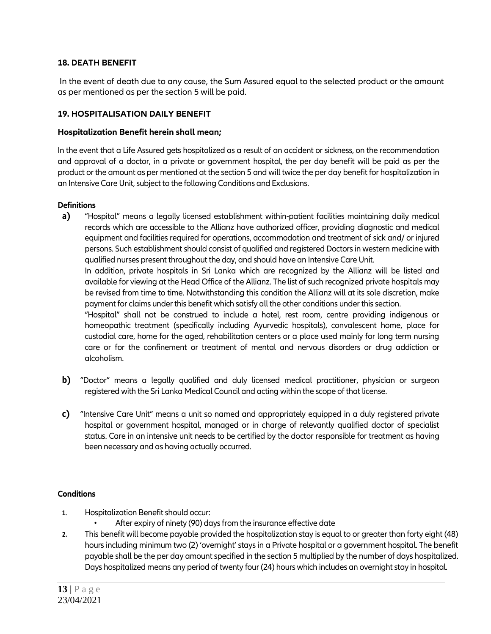#### **18. DEATH BENEFIT**

In the event of death due to any cause, the Sum Assured equal to the selected product or the amount as per mentioned as per the section 5 will be paid.

#### **19. HOSPITALISATION DAILY BENEFIT**

#### **Hospitalization Benefit herein shall mean;**

In the event that a Life Assured gets hospitalized as a result of an accident or sickness, on the recommendation and approval of a doctor, in a private or government hospital, the per day benefit will be paid as per the product or the amount as per mentioned at the section 5 and will twice the per day benefit for hospitalization in an Intensive Care Unit, subject to the following Conditions and Exclusions.

#### **Definitions**

**a)** "Hospital" means a legally licensed establishment within-patient facilities maintaining daily medical records which are accessible to the Allianz have authorized officer, providing diagnostic and medical equipment and facilities required for operations, accommodation and treatment of sick and/ or injured persons. Such establishment should consist of qualified and registered Doctors in western medicine with qualified nurses present throughout the day, and should have an Intensive Care Unit.

In addition, private hospitals in Sri Lanka which are recognized by the Allianz will be listed and available for viewing at the Head Office of the Allianz. The list of such recognized private hospitals may be revised from time to time. Notwithstanding this condition the Allianz will at its sole discretion, make payment for claims under this benefit which satisfy all the other conditions under this section.

"Hospital" shall not be construed to include a hotel, rest room, centre providing indigenous or homeopathic treatment (specifically including Ayurvedic hospitals), convalescent home, place for custodial care, home for the aged, rehabilitation centers or a place used mainly for long term nursing care or for the confinement or treatment of mental and nervous disorders or drug addiction or alcoholism.

- **b)** "Doctor" means a legally qualified and duly licensed medical practitioner, physician or surgeon registered with the Sri Lanka Medical Council and acting within the scope of that license.
- **c)** "Intensive Care Unit" means a unit so named and appropriately equipped in a duly registered private hospital or government hospital, managed or in charge of relevantly qualified doctor of specialist status. Care in an intensive unit needs to be certified by the doctor responsible for treatment as having been necessary and as having actually occurred.

#### **Conditions**

- **1.** Hospitalization Benefit should occur:
	- After expiry of ninety (90) days from the insurance effective date
- **2.** This benefit will become payable provided the hospitalization stay is equal to or greater than forty eight (48) hours including minimum two (2) 'overnight' stays in a Private hospital or a government hospital. The benefit payable shall be the per day amount specified in the section 5 multiplied by the number of days hospitalized. Days hospitalized means any period of twenty four (24) hours which includes an overnight stay in hospital.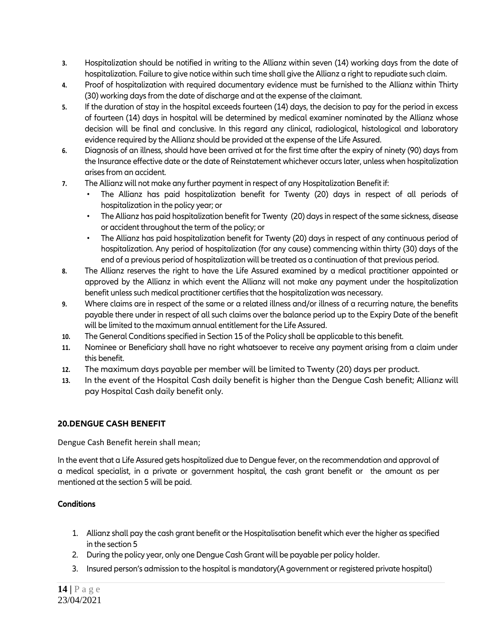- **3.** Hospitalization should be notified in writing to the Allianz within seven (14) working days from the date of hospitalization. Failure to give notice within such time shall give the Allianz a right to repudiate such claim.
- **4.** Proof of hospitalization with required documentary evidence must be furnished to the Allianz within Thirty (30) working days from the date of discharge and at the expense of the claimant.
- **5.** If the duration of stay in the hospital exceeds fourteen (14) days, the decision to pay for the period in excess of fourteen (14) days in hospital will be determined by medical examiner nominated by the Allianz whose decision will be final and conclusive. In this regard any clinical, radiological, histological and laboratory evidence required by the Allianz should be provided at the expense of the Life Assured.
- **6.** Diagnosis of an illness, should have been arrived at for the first time after the expiry of ninety (90) days from the Insurance effective date or the date of Reinstatement whichever occurs later, unless when hospitalization arises from an accident.
- **7.** The Allianz will not make any further payment in respect of any Hospitalization Benefit if:
	- The Allianz has paid hospitalization benefit for Twenty (20) days in respect of all periods of hospitalization in the policy year; or
	- The Allianz has paid hospitalization benefit for Twenty (20) days in respect of the same sickness, disease or accident throughout the term of the policy; or
	- The Allianz has paid hospitalization benefit for Twenty (20) days in respect of any continuous period of hospitalization. Any period of hospitalization (for any cause) commencing within thirty (30) days of the end of a previous period of hospitalization will be treated as a continuation of that previous period.
- **8.** The Allianz reserves the right to have the Life Assured examined by a medical practitioner appointed or approved by the Allianz in which event the Allianz will not make any payment under the hospitalization benefit unless such medical practitioner certifies that the hospitalization was necessary.
- **9.** Where claims are in respect of the same or a related illness and/or illness of a recurring nature, the benefits payable there under in respect of all such claims over the balance period up to the Expiry Date of the benefit will be limited to the maximum annual entitlement for the Life Assured.
- **10.** The General Conditions specified in Section 15 of the Policy shall be applicable to this benefit.
- **11.** Nominee or Beneficiary shall have no right whatsoever to receive any payment arising from a claim under this benefit.
- **12.** The maximum days payable per member will be limited to Twenty (20) days per product.
- **13.** In the event of the Hospital Cash daily benefit is higher than the Dengue Cash benefit; Allianz will pay Hospital Cash daily benefit only.

# **20.DENGUE CASH BENEFIT**

Dengue Cash Benefit herein shall mean;

In the event that a Life Assured gets hospitalized due to Dengue fever, on the recommendation and approval of a medical specialist, in a private or government hospital, the cash grant benefit or the amount as per mentioned at the section 5 will be paid.

#### **Conditions**

- 1. Allianz shall pay the cash grant benefit or the Hospitalisation benefit which ever the higher as specified in the section 5
- 2. During the policy year, only one Dengue Cash Grant will be payable per policy holder.
- 3. Insured person"s admission to the hospital is mandatory(A government or registered private hospital)